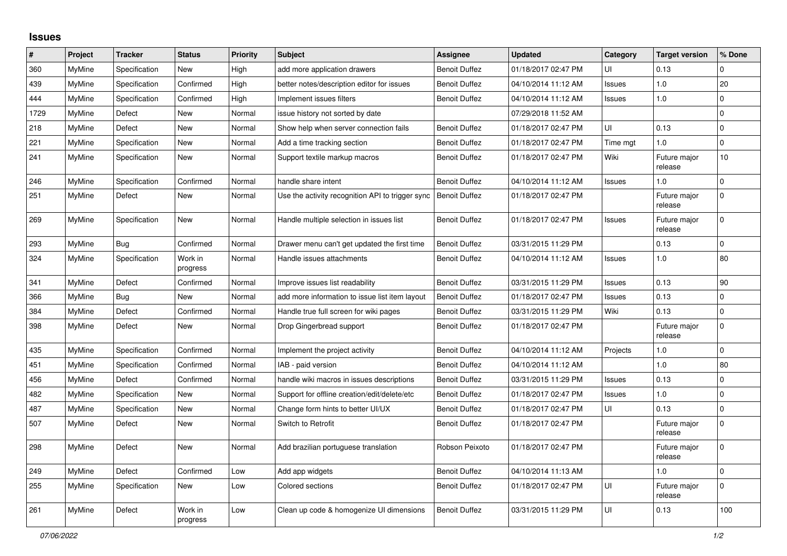## **Issues**

| ∦    | Project       | <b>Tracker</b> | <b>Status</b>       | <b>Priority</b> | <b>Subject</b>                                   | Assignee             | <b>Updated</b>      | Category      | <b>Target version</b>   | % Done       |
|------|---------------|----------------|---------------------|-----------------|--------------------------------------------------|----------------------|---------------------|---------------|-------------------------|--------------|
| 360  | MyMine        | Specification  | New                 | High            | add more application drawers                     | <b>Benoit Duffez</b> | 01/18/2017 02:47 PM | UI            | 0.13                    | 0            |
| 439  | MyMine        | Specification  | Confirmed           | High            | better notes/description editor for issues       | <b>Benoit Duffez</b> | 04/10/2014 11:12 AM | Issues        | 1.0                     | 20           |
| 444  | <b>MyMine</b> | Specification  | Confirmed           | High            | Implement issues filters                         | <b>Benoit Duffez</b> | 04/10/2014 11:12 AM | Issues        | 1.0                     | $\pmb{0}$    |
| 1729 | MyMine        | Defect         | New                 | Normal          | issue history not sorted by date                 |                      | 07/29/2018 11:52 AM |               |                         | $\mathbf 0$  |
| 218  | MyMine        | Defect         | <b>New</b>          | Normal          | Show help when server connection fails           | <b>Benoit Duffez</b> | 01/18/2017 02:47 PM | UI            | 0.13                    | $\mathbf 0$  |
| 221  | MyMine        | Specification  | <b>New</b>          | Normal          | Add a time tracking section                      | <b>Benoit Duffez</b> | 01/18/2017 02:47 PM | Time mat      | 1.0                     | $\Omega$     |
| 241  | MyMine        | Specification  | New                 | Normal          | Support textile markup macros                    | <b>Benoit Duffez</b> | 01/18/2017 02:47 PM | Wiki          | Future major<br>release | 10           |
| 246  | <b>MyMine</b> | Specification  | Confirmed           | Normal          | handle share intent                              | <b>Benoit Duffez</b> | 04/10/2014 11:12 AM | Issues        | 1.0                     | $\mathbf 0$  |
| 251  | MyMine        | Defect         | New                 | Normal          | Use the activity recognition API to trigger sync | <b>Benoit Duffez</b> | 01/18/2017 02:47 PM |               | Future major<br>release | 0            |
| 269  | MyMine        | Specification  | New                 | Normal          | Handle multiple selection in issues list         | <b>Benoit Duffez</b> | 01/18/2017 02:47 PM | Issues        | Future major<br>release | $\Omega$     |
| 293  | MyMine        | Bug            | Confirmed           | Normal          | Drawer menu can't get updated the first time     | <b>Benoit Duffez</b> | 03/31/2015 11:29 PM |               | 0.13                    | $\mathbf 0$  |
| 324  | MyMine        | Specification  | Work in<br>progress | Normal          | Handle issues attachments                        | <b>Benoit Duffez</b> | 04/10/2014 11:12 AM | Issues        | 1.0                     | 80           |
| 341  | MyMine        | Defect         | Confirmed           | Normal          | Improve issues list readability                  | <b>Benoit Duffez</b> | 03/31/2015 11:29 PM | Issues        | 0.13                    | 90           |
| 366  | MyMine        | <b>Bug</b>     | New                 | Normal          | add more information to issue list item layout   | <b>Benoit Duffez</b> | 01/18/2017 02:47 PM | Issues        | 0.13                    | $\mathbf 0$  |
| 384  | MyMine        | Defect         | Confirmed           | Normal          | Handle true full screen for wiki pages           | <b>Benoit Duffez</b> | 03/31/2015 11:29 PM | Wiki          | 0.13                    | $\mathbf 0$  |
| 398  | MyMine        | Defect         | <b>New</b>          | Normal          | Drop Gingerbread support                         | <b>Benoit Duffez</b> | 01/18/2017 02:47 PM |               | Future major<br>release | $\mathbf{0}$ |
| 435  | MyMine        | Specification  | Confirmed           | Normal          | Implement the project activity                   | <b>Benoit Duffez</b> | 04/10/2014 11:12 AM | Projects      | 1.0                     | $\pmb{0}$    |
| 451  | MyMine        | Specification  | Confirmed           | Normal          | IAB - paid version                               | <b>Benoit Duffez</b> | 04/10/2014 11:12 AM |               | 1.0                     | 80           |
| 456  | <b>MyMine</b> | Defect         | Confirmed           | Normal          | handle wiki macros in issues descriptions        | <b>Benoit Duffez</b> | 03/31/2015 11:29 PM | <b>Issues</b> | 0.13                    | $\pmb{0}$    |
| 482  | <b>MyMine</b> | Specification  | <b>New</b>          | Normal          | Support for offline creation/edit/delete/etc     | <b>Benoit Duffez</b> | 01/18/2017 02:47 PM | <b>Issues</b> | 1.0                     | $\mathbf 0$  |
| 487  | MyMine        | Specification  | <b>New</b>          | Normal          | Change form hints to better UI/UX                | <b>Benoit Duffez</b> | 01/18/2017 02:47 PM | UI            | 0.13                    | 0            |
| 507  | MyMine        | Defect         | <b>New</b>          | Normal          | Switch to Retrofit                               | <b>Benoit Duffez</b> | 01/18/2017 02:47 PM |               | Future major<br>release | $\Omega$     |
| 298  | MyMine        | Defect         | New                 | Normal          | Add brazilian portuguese translation             | Robson Peixoto       | 01/18/2017 02:47 PM |               | Future major<br>release | $\mathbf 0$  |
| 249  | MyMine        | Defect         | Confirmed           | Low             | Add app widgets                                  | <b>Benoit Duffez</b> | 04/10/2014 11:13 AM |               | 1.0                     | 0            |
| 255  | MyMine        | Specification  | <b>New</b>          | Low             | Colored sections                                 | <b>Benoit Duffez</b> | 01/18/2017 02:47 PM | UI            | Future major<br>release | $\Omega$     |
| 261  | MyMine        | Defect         | Work in<br>progress | Low             | Clean up code & homogenize UI dimensions         | <b>Benoit Duffez</b> | 03/31/2015 11:29 PM | UI            | 0.13                    | 100          |